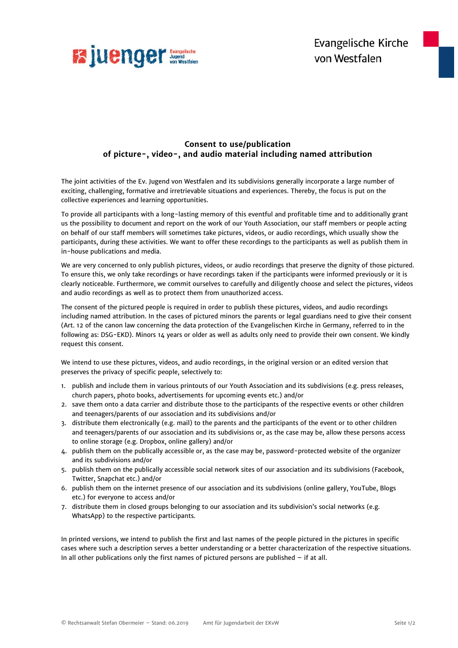

## **Consent to use/publication of picture-, video-, and audio material including named attribution**

The joint activities of the Ev. Jugend von Westfalen and its subdivisions generally incorporate a large number of exciting, challenging, formative and irretrievable situations and experiences. Thereby, the focus is put on the collective experiences and learning opportunities.

To provide all participants with a long-lasting memory of this eventful and profitable time and to additionally grant us the possibility to document and report on the work of our Youth Association, our staff members or people acting on behalf of our staff members will sometimes take pictures, videos, or audio recordings, which usually show the participants, during these activities. We want to offer these recordings to the participants as well as publish them in in-house publications and media.

We are very concerned to only publish pictures, videos, or audio recordings that preserve the dignity of those pictured. To ensure this, we only take recordings or have recordings taken if the participants were informed previously or it is clearly noticeable. Furthermore, we commit ourselves to carefully and diligently choose and select the pictures, videos and audio recordings as well as to protect them from unauthorized access.

The consent of the pictured people is required in order to publish these pictures, videos, and audio recordings including named attribution. In the cases of pictured minors the parents or legal guardians need to give their consent (Art. 12 of the canon law concerning the data protection of the Evangelischen Kirche in Germany, referred to in the following as: DSG-EKD). Minors 14 years or older as well as adults only need to provide their own consent. We kindly request this consent.

We intend to use these pictures, videos, and audio recordings, in the original version or an edited version that preserves the privacy of specific people, selectively to:

- 1. publish and include them in various printouts of our Youth Association and its subdivisions (e.g. press releases, church papers, photo books, advertisements for upcoming events etc.) and/or
- 2. save them onto a data carrier and distribute those to the participants of the respective events or other children and teenagers/parents of our association and its subdivisions and/or
- 3. distribute them electronically (e.g. mail) to the parents and the participants of the event or to other children and teenagers/parents of our association and its subdivisions or, as the case may be, allow these persons access to online storage (e.g. Dropbox, online gallery) and/or
- 4. publish them on the publically accessible or, as the case may be, password-protected website of the organizer and its subdivisions and/or
- 5. publish them on the publically accessible social network sites of our association and its subdivisions (Facebook, Twitter, Snapchat etc.) and/or
- 6. publish them on the internet presence of our association and its subdivisions (online gallery, YouTube, Blogs etc.) for everyone to access and/or
- 7. distribute them in closed groups belonging to our association and its subdivision's social networks (e.g. WhatsApp) to the respective participants.

In printed versions, we intend to publish the first and last names of the people pictured in the pictures in specific cases where such a description serves a better understanding or a better characterization of the respective situations. In all other publications only the first names of pictured persons are published – if at all.